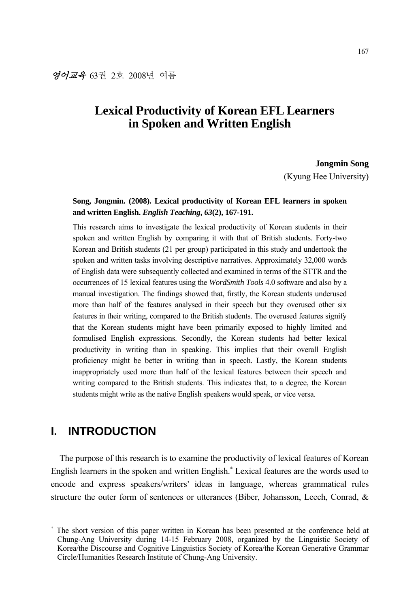# **Lexical Productivity of Korean EFL Learners in Spoken and Written English**

**Jongmin Song** 

(Kyung Hee University)

## **Song, Jongmin. (2008). Lexical productivity of Korean EFL learners in spoken and written English.** *English Teaching***,** *63***(2), 167-191.**

This research aims to investigate the lexical productivity of Korean students in their spoken and written English by comparing it with that of British students. Forty-two Korean and British students (21 per group) participated in this study and undertook the spoken and written tasks involving descriptive narratives. Approximately 32,000 words of English data were subsequently collected and examined in terms of the STTR and the occurrences of 15 lexical features using the *WordSmith Tools* 4.0 software and also by a manual investigation. The findings showed that, firstly, the Korean students underused more than half of the features analysed in their speech but they overused other six features in their writing, compared to the British students. The overused features signify that the Korean students might have been primarily exposed to highly limited and formulised English expressions. Secondly, the Korean students had better lexical productivity in writing than in speaking. This implies that their overall English proficiency might be better in writing than in speech. Lastly, the Korean students inappropriately used more than half of the lexical features between their speech and writing compared to the British students. This indicates that, to a degree, the Korean students might write as the native English speakers would speak, or vice versa.

# **I. INTRODUCTION**

-

The purpose of this research is to examine the productivity of lexical features of Korean English learners in the spoken and written English.<sup>∗</sup> Lexical features are the words used to encode and express speakers/writers' ideas in language, whereas grammatical rules structure the outer form of sentences or utterances (Biber, Johansson, Leech, Conrad, &

<sup>∗</sup> The short version of this paper written in Korean has been presented at the conference held at Chung-Ang University during 14-15 February 2008, organized by the Linguistic Society of Korea/the Discourse and Cognitive Linguistics Society of Korea/the Korean Generative Grammar Circle/Humanities Research Institute of Chung-Ang University.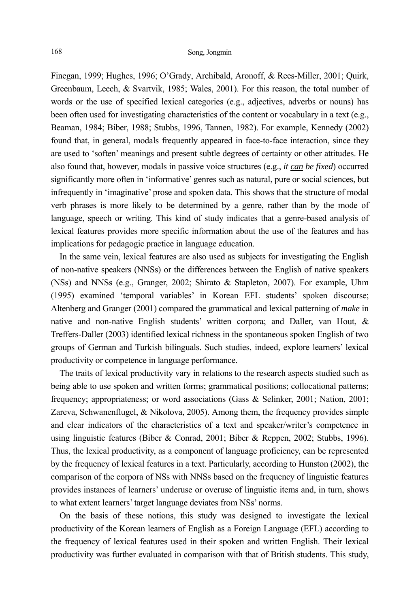Finegan, 1999; Hughes, 1996; O'Grady, Archibald, Aronoff, & Rees-Miller, 2001; Quirk, Greenbaum, Leech, & Svartvik, 1985; Wales, 2001). For this reason, the total number of words or the use of specified lexical categories (e.g., adjectives, adverbs or nouns) has been often used for investigating characteristics of the content or vocabulary in a text (e.g., Beaman, 1984; Biber, 1988; Stubbs, 1996, Tannen, 1982). For example, Kennedy (2002) found that, in general, modals frequently appeared in face-to-face interaction, since they are used to 'soften' meanings and present subtle degrees of certainty or other attitudes. He also found that, however, modals in passive voice structures (e.g., *it can be fixed*) occurred significantly more often in 'informative' genres such as natural, pure or social sciences, but infrequently in 'imaginative' prose and spoken data. This shows that the structure of modal verb phrases is more likely to be determined by a genre, rather than by the mode of language, speech or writing. This kind of study indicates that a genre-based analysis of lexical features provides more specific information about the use of the features and has implications for pedagogic practice in language education.

In the same vein, lexical features are also used as subjects for investigating the English of non-native speakers (NNSs) or the differences between the English of native speakers (NSs) and NNSs (e.g., Granger, 2002; Shirato & Stapleton, 2007). For example, Uhm (1995) examined 'temporal variables' in Korean EFL students' spoken discourse; Altenberg and Granger (2001) compared the grammatical and lexical patterning of *make* in native and non-native English students' written corpora; and Daller, van Hout, & Treffers-Daller (2003) identified lexical richness in the spontaneous spoken English of two groups of German and Turkish bilinguals. Such studies, indeed, explore learners' lexical productivity or competence in language performance.

The traits of lexical productivity vary in relations to the research aspects studied such as being able to use spoken and written forms; grammatical positions; collocational patterns; frequency; appropriateness; or word associations (Gass & Selinker, 2001; Nation, 2001; Zareva, Schwanenflugel, & Nikolova, 2005). Among them, the frequency provides simple and clear indicators of the characteristics of a text and speaker/writer's competence in using linguistic features (Biber & Conrad, 2001; Biber & Reppen, 2002; Stubbs, 1996). Thus, the lexical productivity, as a component of language proficiency, can be represented by the frequency of lexical features in a text. Particularly, according to Hunston (2002), the comparison of the corpora of NSs with NNSs based on the frequency of linguistic features provides instances of learners' underuse or overuse of linguistic items and, in turn, shows to what extent learners' target language deviates from NSs' norms.

On the basis of these notions, this study was designed to investigate the lexical productivity of the Korean learners of English as a Foreign Language (EFL) according to the frequency of lexical features used in their spoken and written English. Their lexical productivity was further evaluated in comparison with that of British students. This study,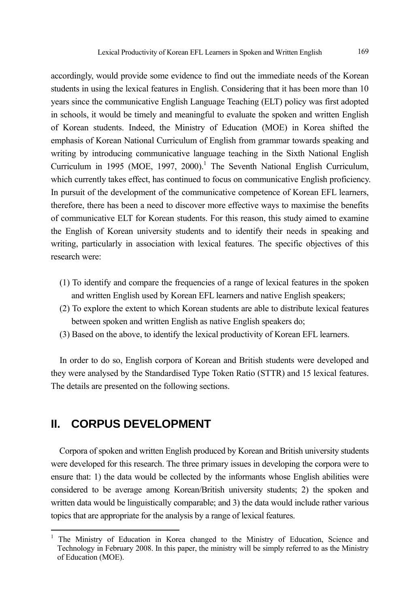accordingly, would provide some evidence to find out the immediate needs of the Korean students in using the lexical features in English. Considering that it has been more than 10 years since the communicative English Language Teaching (ELT) policy was first adopted in schools, it would be timely and meaningful to evaluate the spoken and written English of Korean students. Indeed, the Ministry of Education (MOE) in Korea shifted the emphasis of Korean National Curriculum of English from grammar towards speaking and writing by introducing communicative language teaching in the Sixth National English Curriculum in 1995 (MOE, 1997, 2000).<sup>1</sup> The Seventh National English Curriculum, which currently takes effect, has continued to focus on communicative English proficiency. In pursuit of the development of the communicative competence of Korean EFL learners, therefore, there has been a need to discover more effective ways to maximise the benefits of communicative ELT for Korean students. For this reason, this study aimed to examine the English of Korean university students and to identify their needs in speaking and writing, particularly in association with lexical features. The specific objectives of this research were:

- (1) To identify and compare the frequencies of a range of lexical features in the spoken and written English used by Korean EFL learners and native English speakers;
- (2) To explore the extent to which Korean students are able to distribute lexical features between spoken and written English as native English speakers do;
- (3) Based on the above, to identify the lexical productivity of Korean EFL learners.

In order to do so, English corpora of Korean and British students were developed and they were analysed by the Standardised Type Token Ratio (STTR) and 15 lexical features. The details are presented on the following sections.

## **II. CORPUS DEVELOPMENT**

l

Corpora of spoken and written English produced by Korean and British university students were developed for this research. The three primary issues in developing the corpora were to ensure that: 1) the data would be collected by the informants whose English abilities were considered to be average among Korean/British university students; 2) the spoken and written data would be linguistically comparable; and 3) the data would include rather various topics that are appropriate for the analysis by a range of lexical features.

<sup>1</sup> The Ministry of Education in Korea changed to the Ministry of Education, Science and Technology in February 2008. In this paper, the ministry will be simply referred to as the Ministry of Education (MOE).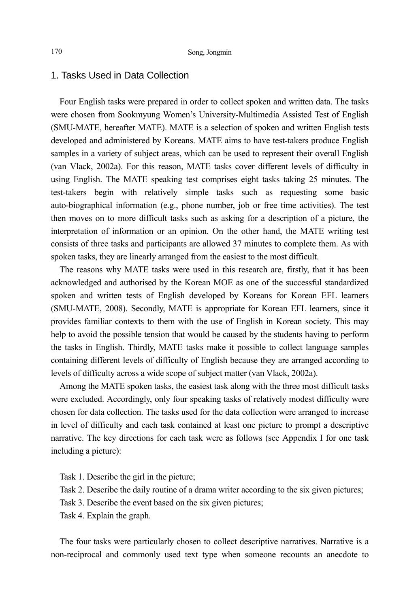## 1. Tasks Used in Data Collection

Four English tasks were prepared in order to collect spoken and written data. The tasks were chosen from Sookmyung Women's University-Multimedia Assisted Test of English (SMU-MATE, hereafter MATE). MATE is a selection of spoken and written English tests developed and administered by Koreans. MATE aims to have test-takers produce English samples in a variety of subject areas, which can be used to represent their overall English (van Vlack, 2002a). For this reason, MATE tasks cover different levels of difficulty in using English. The MATE speaking test comprises eight tasks taking 25 minutes. The test-takers begin with relatively simple tasks such as requesting some basic auto-biographical information (e.g., phone number, job or free time activities). The test then moves on to more difficult tasks such as asking for a description of a picture, the interpretation of information or an opinion. On the other hand, the MATE writing test consists of three tasks and participants are allowed 37 minutes to complete them. As with spoken tasks, they are linearly arranged from the easiest to the most difficult.

The reasons why MATE tasks were used in this research are, firstly, that it has been acknowledged and authorised by the Korean MOE as one of the successful standardized spoken and written tests of English developed by Koreans for Korean EFL learners (SMU-MATE, 2008). Secondly, MATE is appropriate for Korean EFL learners, since it provides familiar contexts to them with the use of English in Korean society. This may help to avoid the possible tension that would be caused by the students having to perform the tasks in English. Thirdly, MATE tasks make it possible to collect language samples containing different levels of difficulty of English because they are arranged according to levels of difficulty across a wide scope of subject matter (van Vlack, 2002a).

Among the MATE spoken tasks, the easiest task along with the three most difficult tasks were excluded. Accordingly, only four speaking tasks of relatively modest difficulty were chosen for data collection. The tasks used for the data collection were arranged to increase in level of difficulty and each task contained at least one picture to prompt a descriptive narrative. The key directions for each task were as follows (see Appendix I for one task including a picture):

- Task 1. Describe the girl in the picture;
- Task 2. Describe the daily routine of a drama writer according to the six given pictures;
- Task 3. Describe the event based on the six given pictures;
- Task 4. Explain the graph.

The four tasks were particularly chosen to collect descriptive narratives. Narrative is a non-reciprocal and commonly used text type when someone recounts an anecdote to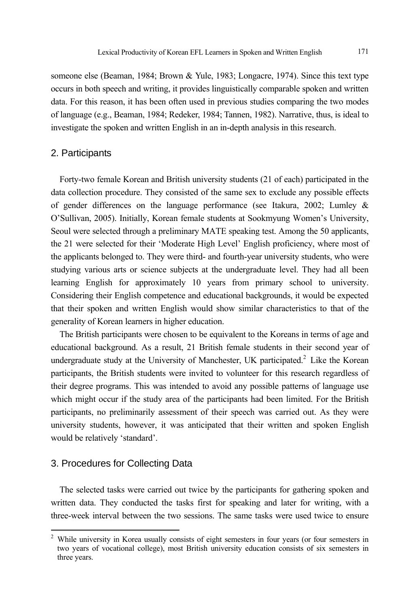someone else (Beaman, 1984; Brown & Yule, 1983; Longacre, 1974). Since this text type occurs in both speech and writing, it provides linguistically comparable spoken and written data. For this reason, it has been often used in previous studies comparing the two modes of language (e.g., Beaman, 1984; Redeker, 1984; Tannen, 1982). Narrative, thus, is ideal to investigate the spoken and written English in an in-depth analysis in this research.

### 2. Participants

Forty-two female Korean and British university students (21 of each) participated in the data collection procedure. They consisted of the same sex to exclude any possible effects of gender differences on the language performance (see Itakura, 2002; Lumley & O'Sullivan, 2005). Initially, Korean female students at Sookmyung Women's University, Seoul were selected through a preliminary MATE speaking test. Among the 50 applicants, the 21 were selected for their 'Moderate High Level' English proficiency, where most of the applicants belonged to. They were third- and fourth-year university students, who were studying various arts or science subjects at the undergraduate level. They had all been learning English for approximately 10 years from primary school to university. Considering their English competence and educational backgrounds, it would be expected that their spoken and written English would show similar characteristics to that of the generality of Korean learners in higher education.

The British participants were chosen to be equivalent to the Koreans in terms of age and educational background. As a result, 21 British female students in their second year of undergraduate study at the University of Manchester, UK participated.<sup>2</sup> Like the Korean participants, the British students were invited to volunteer for this research regardless of their degree programs. This was intended to avoid any possible patterns of language use which might occur if the study area of the participants had been limited. For the British participants, no preliminarily assessment of their speech was carried out. As they were university students, however, it was anticipated that their written and spoken English would be relatively 'standard'.

### 3. Procedures for Collecting Data

The selected tasks were carried out twice by the participants for gathering spoken and written data. They conducted the tasks first for speaking and later for writing, with a three-week interval between the two sessions. The same tasks were used twice to ensure

<sup>&</sup>lt;sup>2</sup> While university in Korea usually consists of eight semesters in four years (or four semesters in two years of vocational college), most British university education consists of six semesters in three years.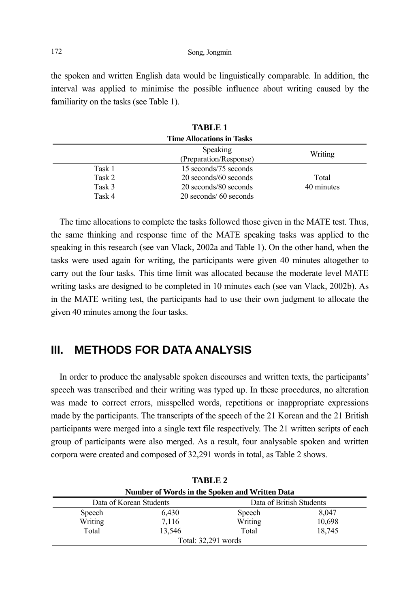the spoken and written English data would be linguistically comparable. In addition, the interval was applied to minimise the possible influence about writing caused by the familiarity on the tasks (see Table 1).

| ,,,,,,,,,,,                      |                        |            |
|----------------------------------|------------------------|------------|
| <b>Time Allocations in Tasks</b> |                        |            |
|                                  | <b>Speaking</b>        | Writing    |
|                                  | (Preparation/Response) |            |
| Task 1                           | 15 seconds/75 seconds  |            |
| Task 2                           | 20 seconds/60 seconds  | Total      |
| Task 3                           | 20 seconds/80 seconds  | 40 minutes |
| Task 4                           | 20 seconds/ 60 seconds |            |

| <b>TABLE 1</b>       |  |
|----------------------|--|
| e Allocations in Tas |  |

The time allocations to complete the tasks followed those given in the MATE test. Thus, the same thinking and response time of the MATE speaking tasks was applied to the speaking in this research (see van Vlack, 2002a and Table 1). On the other hand, when the tasks were used again for writing, the participants were given 40 minutes altogether to carry out the four tasks. This time limit was allocated because the moderate level MATE writing tasks are designed to be completed in 10 minutes each (see van Vlack, 2002b). As in the MATE writing test, the participants had to use their own judgment to allocate the given 40 minutes among the four tasks.

# **III. METHODS FOR DATA ANALYSIS**

In order to produce the analysable spoken discourses and written texts, the participants' speech was transcribed and their writing was typed up. In these procedures, no alteration was made to correct errors, misspelled words, repetitions or inappropriate expressions made by the participants. The transcripts of the speech of the 21 Korean and the 21 British participants were merged into a single text file respectively. The 21 written scripts of each group of participants were also merged. As a result, four analysable spoken and written corpora were created and composed of 32,291 words in total, as Table 2 shows.

|                         | TABLE 2                                        |                          |        |  |  |
|-------------------------|------------------------------------------------|--------------------------|--------|--|--|
|                         | Number of Words in the Spoken and Written Data |                          |        |  |  |
| Data of Korean Students |                                                | Data of British Students |        |  |  |
| Speech                  | 6,430                                          | Speech                   | 8,047  |  |  |
| Writing                 | 7,116                                          | Writing                  | 10,698 |  |  |
| Total                   | 13.546                                         | Total                    | 18.745 |  |  |
| Total: 32,291 words     |                                                |                          |        |  |  |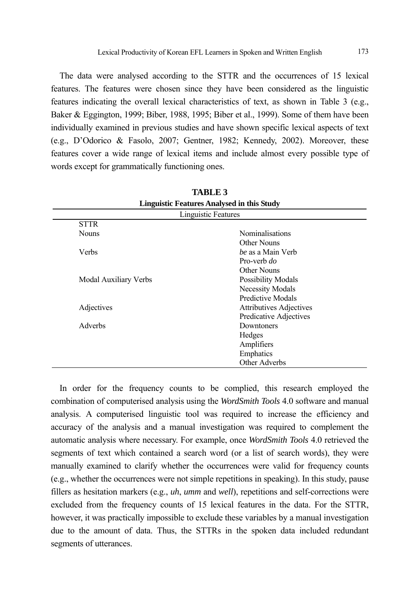The data were analysed according to the STTR and the occurrences of 15 lexical features. The features were chosen since they have been considered as the linguistic features indicating the overall lexical characteristics of text, as shown in Table 3 (e.g., Baker & Eggington, 1999; Biber, 1988, 1995; Biber et al., 1999). Some of them have been individually examined in previous studies and have shown specific lexical aspects of text (e.g., D'Odorico & Fasolo, 2007; Gentner, 1982; Kennedy, 2002). Moreover, these features cover a wide range of lexical items and include almost every possible type of words except for grammatically functioning ones.

| <b>Linguistic Features Analysed in this Study</b> |                                |  |
|---------------------------------------------------|--------------------------------|--|
|                                                   | Linguistic Features            |  |
| <b>STTR</b>                                       |                                |  |
| <b>Nouns</b>                                      | <b>Nominalisations</b>         |  |
|                                                   | Other Nouns                    |  |
| <b>Verbs</b>                                      | be as a Main Verb              |  |
|                                                   | Pro-verb do                    |  |
|                                                   | Other Nouns                    |  |
| Modal Auxiliary Verbs                             | <b>Possibility Modals</b>      |  |
|                                                   | Necessity Modals               |  |
|                                                   | Predictive Modals              |  |
| Adjectives                                        | <b>Attributives Adjectives</b> |  |
|                                                   | Predicative Adjectives         |  |
| <b>Adverbs</b>                                    | Downtoners                     |  |
|                                                   | Hedges                         |  |
|                                                   | Amplifiers                     |  |
|                                                   | Emphatics                      |  |
|                                                   | Other Adverbs                  |  |

**TABLE 3** 

In order for the frequency counts to be complied, this research employed the combination of computerised analysis using the *WordSmith Tools* 4.0 software and manual analysis. A computerised linguistic tool was required to increase the efficiency and accuracy of the analysis and a manual investigation was required to complement the automatic analysis where necessary. For example, once *WordSmith Tools* 4.0 retrieved the segments of text which contained a search word (or a list of search words), they were manually examined to clarify whether the occurrences were valid for frequency counts (e.g., whether the occurrences were not simple repetitions in speaking). In this study, pause fillers as hesitation markers (e.g., *uh*, *umm* and *well*), repetitions and self-corrections were excluded from the frequency counts of 15 lexical features in the data. For the STTR, however, it was practically impossible to exclude these variables by a manual investigation due to the amount of data. Thus, the STTRs in the spoken data included redundant segments of utterances.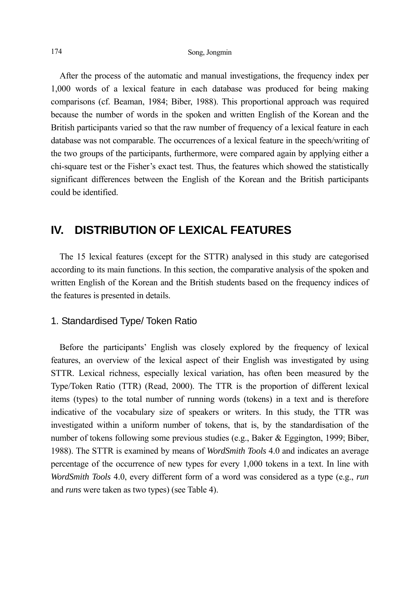After the process of the automatic and manual investigations, the frequency index per 1,000 words of a lexical feature in each database was produced for being making comparisons (cf. Beaman, 1984; Biber, 1988). This proportional approach was required because the number of words in the spoken and written English of the Korean and the British participants varied so that the raw number of frequency of a lexical feature in each database was not comparable. The occurrences of a lexical feature in the speech/writing of the two groups of the participants, furthermore, were compared again by applying either a chi-square test or the Fisher's exact test. Thus, the features which showed the statistically significant differences between the English of the Korean and the British participants could be identified.

## **IV. DISTRIBUTION OF LEXICAL FEATURES**

The 15 lexical features (except for the STTR) analysed in this study are categorised according to its main functions. In this section, the comparative analysis of the spoken and written English of the Korean and the British students based on the frequency indices of the features is presented in details.

## 1. Standardised Type/ Token Ratio

Before the participants' English was closely explored by the frequency of lexical features, an overview of the lexical aspect of their English was investigated by using STTR. Lexical richness, especially lexical variation, has often been measured by the Type/Token Ratio (TTR) (Read, 2000). The TTR is the proportion of different lexical items (types) to the total number of running words (tokens) in a text and is therefore indicative of the vocabulary size of speakers or writers. In this study, the TTR was investigated within a uniform number of tokens, that is, by the standardisation of the number of tokens following some previous studies (e.g., Baker & Eggington, 1999; Biber, 1988). The STTR is examined by means of *WordSmith Tools* 4.0 and indicates an average percentage of the occurrence of new types for every 1,000 tokens in a text. In line with *WordSmith Tools* 4.0, every different form of a word was considered as a type (e.g., *run* and *runs* were taken as two types) (see Table 4).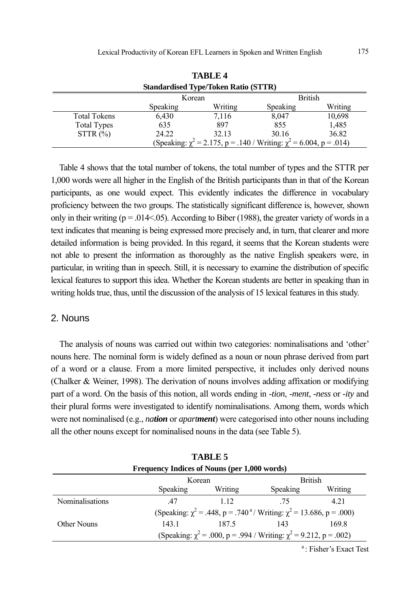|                                                                              |                 | <b>TABLE 4</b> |                |         |
|------------------------------------------------------------------------------|-----------------|----------------|----------------|---------|
| <b>Standardised Type/Token Ratio (STTR)</b>                                  |                 |                |                |         |
|                                                                              | Korean          |                | <b>British</b> |         |
|                                                                              | <b>Speaking</b> | Writing        | Speaking       | Writing |
| <b>Total Tokens</b>                                                          | 6,430           | 7,116          | 8,047          | 10,698  |
| <b>Total Types</b>                                                           | 635             | 897            | 855            | 1,485   |
| STTR(%)                                                                      | 24.22           | 32.13          | 30.16          | 36.82   |
| (Speaking: $\chi^2$ = 2.175, p = .140 / Writing: $\chi^2$ = 6.004, p = .014) |                 |                |                |         |

Table 4 shows that the total number of tokens, the total number of types and the STTR per 1,000 words were all higher in the English of the British participants than in that of the Korean participants, as one would expect. This evidently indicates the difference in vocabulary proficiency between the two groups. The statistically significant difference is, however, shown only in their writing ( $p = .014 < .05$ ). According to Biber (1988), the greater variety of words in a text indicates that meaning is being expressed more precisely and, in turn, that clearer and more detailed information is being provided. In this regard, it seems that the Korean students were not able to present the information as thoroughly as the native English speakers were, in particular, in writing than in speech. Still, it is necessary to examine the distribution of specific lexical features to support this idea. Whether the Korean students are better in speaking than in writing holds true, thus, until the discussion of the analysis of 15 lexical features in this study.

### 2. Nouns

The analysis of nouns was carried out within two categories: nominalisations and 'other' nouns here. The nominal form is widely defined as a noun or noun phrase derived from part of a word or a clause. From a more limited perspective, it includes only derived nouns (Chalker & Weiner, 1998). The derivation of nouns involves adding affixation or modifying part of a word. On the basis of this notion, all words ending in -*tion*, -*ment*, -*ness* or -*ity* and their plural forms were investigated to identify nominalisations. Among them, words which were not nominalised (e.g., *nation* or *apartment*) were categorised into other nouns including all the other nouns except for nominalised nouns in the data (see Table 5).

|                                              |                          | тарге э |                                                                                           |                  |
|----------------------------------------------|--------------------------|---------|-------------------------------------------------------------------------------------------|------------------|
| Frequency Indices of Nouns (per 1,000 words) |                          |         |                                                                                           |                  |
|                                              | <b>British</b><br>Korean |         |                                                                                           |                  |
|                                              | Speaking                 | Writing | Speaking                                                                                  | Writing          |
| Nominalisations                              | 47                       | 1 1 2   | -75                                                                                       | 4.21             |
|                                              |                          |         | (Speaking: $\chi^2$ = .448, p = .740 <sup>a</sup> / Writing: $\chi^2$ = 13.686, p = .000) |                  |
| Other Nouns                                  | 143.1                    | 187.5   | 143                                                                                       | 169.8            |
|                                              |                          |         | (Speaking: $\chi^2$ = .000, p = .994 / Writing: $\chi^2$ = 9.212, p = .002)               |                  |
|                                              |                          |         |                                                                                           | 3.71.1.22.7.1.34 |

 $TAP$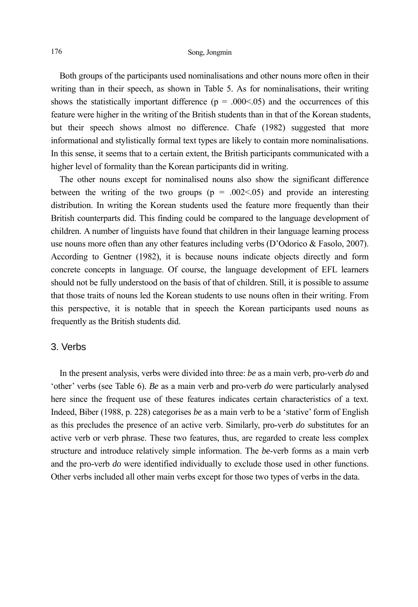Both groups of the participants used nominalisations and other nouns more often in their writing than in their speech, as shown in Table 5. As for nominalisations, their writing shows the statistically important difference ( $p = .000<0.05$ ) and the occurrences of this feature were higher in the writing of the British students than in that of the Korean students, but their speech shows almost no difference. Chafe (1982) suggested that more informational and stylistically formal text types are likely to contain more nominalisations. In this sense, it seems that to a certain extent, the British participants communicated with a higher level of formality than the Korean participants did in writing.

The other nouns except for nominalised nouns also show the significant difference between the writing of the two groups ( $p = .002<0.05$ ) and provide an interesting distribution. In writing the Korean students used the feature more frequently than their British counterparts did. This finding could be compared to the language development of children. A number of linguists have found that children in their language learning process use nouns more often than any other features including verbs (D'Odorico & Fasolo, 2007). According to Gentner (1982), it is because nouns indicate objects directly and form concrete concepts in language. Of course, the language development of EFL learners should not be fully understood on the basis of that of children. Still, it is possible to assume that those traits of nouns led the Korean students to use nouns often in their writing. From this perspective, it is notable that in speech the Korean participants used nouns as frequently as the British students did.

#### 3. Verbs

In the present analysis, verbs were divided into three: *be* as a main verb, pro-verb *do* and 'other' verbs (see Table 6). *Be* as a main verb and pro-verb *do* were particularly analysed here since the frequent use of these features indicates certain characteristics of a text. Indeed, Biber (1988, p. 228) categorises *be* as a main verb to be a 'stative' form of English as this precludes the presence of an active verb. Similarly, pro-verb *do* substitutes for an active verb or verb phrase. These two features, thus, are regarded to create less complex structure and introduce relatively simple information. The *be*-verb forms as a main verb and the pro-verb *do* were identified individually to exclude those used in other functions. Other verbs included all other main verbs except for those two types of verbs in the data.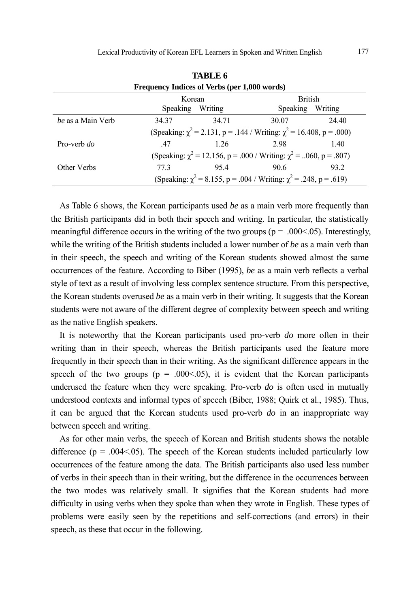| Frequency Indices of Verbs (per 1,000 words) |                  |       |                                                                               |         |
|----------------------------------------------|------------------|-------|-------------------------------------------------------------------------------|---------|
|                                              | Korean           |       | <b>British</b>                                                                |         |
|                                              | Speaking Writing |       | Speaking                                                                      | Writing |
| be as a Main Verb                            | 34.37            | 34 71 | 30.07                                                                         | 24.40   |
|                                              |                  |       | (Speaking: $\chi^2$ = 2.131, p = .144 / Writing: $\chi^2$ = 16.408, p = .000) |         |
| Pro-verb do                                  | 47               | 1 2.6 | 2.98                                                                          | 1.40    |
|                                              |                  |       | (Speaking: $\chi^2$ = 12.156, p = .000 / Writing: $\chi^2$ = 060, p = .807)   |         |
| Other Verbs                                  | 773              | 95.4  | 90.6                                                                          | 93.2    |
|                                              |                  |       | (Speaking: $\chi^2$ = 8.155, p = .004 / Writing: $\chi^2$ = .248, p = .619)   |         |

**TABLE 6** 

As Table 6 shows, the Korean participants used *be* as a main verb more frequently than the British participants did in both their speech and writing. In particular, the statistically meaningful difference occurs in the writing of the two groups ( $p = 0.00<0.05$ ). Interestingly, while the writing of the British students included a lower number of *be* as a main verb than in their speech, the speech and writing of the Korean students showed almost the same occurrences of the feature. According to Biber (1995), *be* as a main verb reflects a verbal style of text as a result of involving less complex sentence structure. From this perspective, the Korean students overused *be* as a main verb in their writing. It suggests that the Korean students were not aware of the different degree of complexity between speech and writing as the native English speakers.

It is noteworthy that the Korean participants used pro-verb *do* more often in their writing than in their speech, whereas the British participants used the feature more frequently in their speech than in their writing. As the significant difference appears in the speech of the two groups ( $p = .000<0.05$ ), it is evident that the Korean participants underused the feature when they were speaking. Pro-verb *do* is often used in mutually understood contexts and informal types of speech (Biber, 1988; Quirk et al., 1985). Thus, it can be argued that the Korean students used pro-verb *do* in an inappropriate way between speech and writing.

As for other main verbs, the speech of Korean and British students shows the notable difference ( $p = 0.004 \le 0.05$ ). The speech of the Korean students included particularly low occurrences of the feature among the data. The British participants also used less number of verbs in their speech than in their writing, but the difference in the occurrences between the two modes was relatively small. It signifies that the Korean students had more difficulty in using verbs when they spoke than when they wrote in English. These types of problems were easily seen by the repetitions and self-corrections (and errors) in their speech, as these that occur in the following.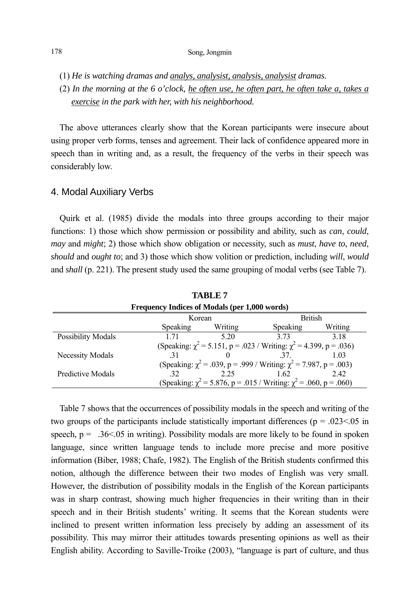- (1) *He is watching dramas and analys, analysist, analysis, analysist dramas.*
- (2) *In the morning at the 6 o'clock, he often use, he often part, he often take a, takes a exercise in the park with her, with his neighborhood.*

The above utterances clearly show that the Korean participants were insecure about using proper verb forms, tenses and agreement. Their lack of confidence appeared more in speech than in writing and, as a result, the frequency of the verbs in their speech was considerably low.

## 4. Modal Auxiliary Verbs

Quirk et al. (1985) divide the modals into three groups according to their major functions: 1) those which show permission or possibility and ability, such as *can*, *could*, *may* and *might*; 2) those which show obligation or necessity, such as *must*, *have to*, *need*, *should* and *ought to*; and 3) those which show volition or prediction, including *will*, *would* and *shall* (p. 221). The present study used the same grouping of modal verbs (see Table 7).

| Frequency Indices of Modals (per 1,000 words) |                 |         |                                                                              |         |
|-----------------------------------------------|-----------------|---------|------------------------------------------------------------------------------|---------|
|                                               | Korean          |         | <b>British</b>                                                               |         |
|                                               | <b>Speaking</b> | Writing | Speaking                                                                     | Writing |
| <b>Possibility Modals</b>                     | 1 7 1           | 5.20    | 373                                                                          | 3.18    |
|                                               |                 |         | (Speaking: $\chi^2$ = 5.151, p = .023 / Writing: $\chi^2$ = 4.399, p = .036) |         |
| Necessity Modals                              | -31             |         | 37                                                                           | 1.03    |
|                                               |                 |         | (Speaking: $\chi^2$ = .039, p = .999 / Writing: $\chi^2$ = 7.987, p = .003)  |         |
| Predictive Modals                             | 32              | 2.25    | 1.62                                                                         | 2.42    |
|                                               |                 |         | (Speaking: $\chi^2$ = 5.876, p = .015 / Writing: $\chi^2$ = .060, p = .060)  |         |

**TABLE 7** 

Table 7 shows that the occurrences of possibility modals in the speech and writing of the two groups of the participants include statistically important differences ( $p = .023 < .05$  in speech,  $p = 0.36 \le 0.05$  in writing). Possibility modals are more likely to be found in spoken language, since written language tends to include more precise and more positive information (Biber, 1988; Chafe, 1982). The English of the British students confirmed this notion, although the difference between their two modes of English was very small. However, the distribution of possibility modals in the English of the Korean participants was in sharp contrast, showing much higher frequencies in their writing than in their speech and in their British students' writing. It seems that the Korean students were inclined to present written information less precisely by adding an assessment of its possibility. This may mirror their attitudes towards presenting opinions as well as their English ability. According to Saville-Troike (2003), "language is part of culture, and thus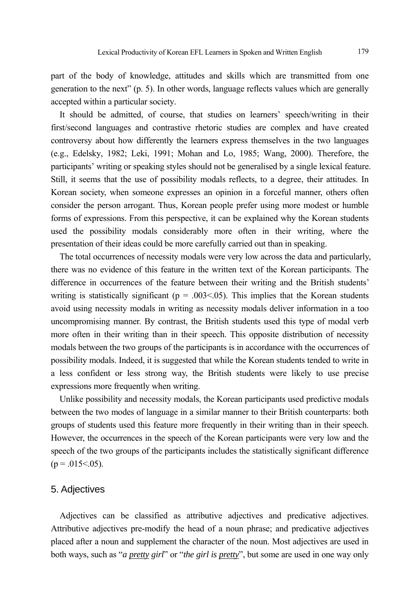part of the body of knowledge, attitudes and skills which are transmitted from one generation to the next" (p. 5). In other words, language reflects values which are generally accepted within a particular society.

It should be admitted, of course, that studies on learners' speech/writing in their first/second languages and contrastive rhetoric studies are complex and have created controversy about how differently the learners express themselves in the two languages (e.g., Edelsky, 1982; Leki, 1991; Mohan and Lo, 1985; Wang, 2000). Therefore, the participants' writing or speaking styles should not be generalised by a single lexical feature. Still, it seems that the use of possibility modals reflects, to a degree, their attitudes. In Korean society, when someone expresses an opinion in a forceful manner, others often consider the person arrogant. Thus, Korean people prefer using more modest or humble forms of expressions. From this perspective, it can be explained why the Korean students used the possibility modals considerably more often in their writing, where the presentation of their ideas could be more carefully carried out than in speaking.

The total occurrences of necessity modals were very low across the data and particularly, there was no evidence of this feature in the written text of the Korean participants. The difference in occurrences of the feature between their writing and the British students' writing is statistically significant ( $p = .003<0.05$ ). This implies that the Korean students avoid using necessity modals in writing as necessity modals deliver information in a too uncompromising manner. By contrast, the British students used this type of modal verb more often in their writing than in their speech. This opposite distribution of necessity modals between the two groups of the participants is in accordance with the occurrences of possibility modals. Indeed, it is suggested that while the Korean students tended to write in a less confident or less strong way, the British students were likely to use precise expressions more frequently when writing.

Unlike possibility and necessity modals, the Korean participants used predictive modals between the two modes of language in a similar manner to their British counterparts: both groups of students used this feature more frequently in their writing than in their speech. However, the occurrences in the speech of the Korean participants were very low and the speech of the two groups of the participants includes the statistically significant difference  $(p = .015 \le .05)$ .

#### 5. Adjectives

Adjectives can be classified as attributive adjectives and predicative adjectives. Attributive adjectives pre-modify the head of a noun phrase; and predicative adjectives placed after a noun and supplement the character of the noun. Most adjectives are used in both ways, such as "*a pretty girl*" or "*the girl is pretty*", but some are used in one way only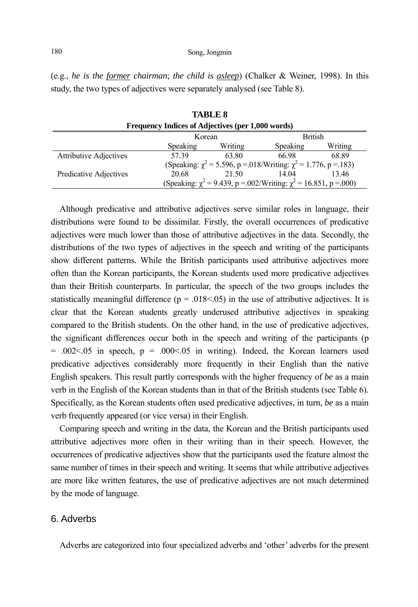(e.g., *he is the former chairman*; *the child is asleep*) (Chalker & Weiner, 1998). In this study, the two types of adjectives were separately analysed (see Table 8).

**TABLE 8** 

|                                                   |          | .       |                                                                             |         |
|---------------------------------------------------|----------|---------|-----------------------------------------------------------------------------|---------|
| Frequency Indices of Adjectives (per 1,000 words) |          |         |                                                                             |         |
|                                                   | Korean   |         | <b>British</b>                                                              |         |
|                                                   | Speaking | Writing | Speaking                                                                    | Writing |
| <b>Attributive Adjectives</b>                     | 5739     | 63.80   | 66.98                                                                       | 68.89   |
|                                                   |          |         | (Speaking: $\chi^2$ = 5.596, p = 0.018/Writing: $\chi^2$ = 1.776, p = 1.83) |         |
| Predicative Adjectives                            | 20.68    | 21.50   | 14 04                                                                       | 1346    |
|                                                   |          |         | (Speaking: $\chi^2$ = 9.439, p = 002/Writing: $\chi^2$ = 16.851, p = 000)   |         |

Although predicative and attributive adjectives serve similar roles in language, their distributions were found to be dissimilar. Firstly, the overall occurrences of predicative adjectives were much lower than those of attributive adjectives in the data. Secondly, the distributions of the two types of adjectives in the speech and writing of the participants show different patterns. While the British participants used attributive adjectives more often than the Korean participants, the Korean students used more predicative adjectives than their British counterparts. In particular, the speech of the two groups includes the statistically meaningful difference ( $p = .018<0.05$ ) in the use of attributive adjectives. It is clear that the Korean students greatly underused attributive adjectives in speaking compared to the British students. On the other hand, in the use of predicative adjectives, the significant differences occur both in the speech and writing of the participants (p  $= .002 \le 0.05$  in speech, p  $= .000 \le 0.05$  in writing). Indeed, the Korean learners used predicative adjectives considerably more frequently in their English than the native English speakers. This result partly corresponds with the higher frequency of *be* as a main verb in the English of the Korean students than in that of the British students (see Table 6). Specifically, as the Korean students often used predicative adjectives, in turn, *be* as a main verb frequently appeared (or vice versa) in their English.

Comparing speech and writing in the data, the Korean and the British participants used attributive adjectives more often in their writing than in their speech. However, the occurrences of predicative adjectives show that the participants used the feature almost the same number of times in their speech and writing. It seems that while attributive adjectives are more like written features, the use of predicative adjectives are not much determined by the mode of language.

## 6. Adverbs

Adverbs are categorized into four specialized adverbs and 'other' adverbs for the present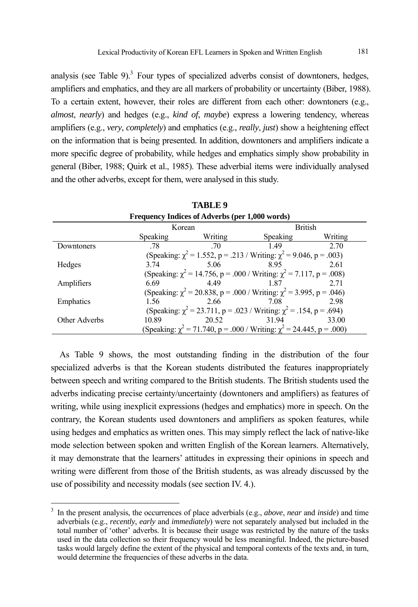analysis (see Table 9). $3$  Four types of specialized adverbs consist of downtoners, hedges, amplifiers and emphatics, and they are all markers of probability or uncertainty (Biber, 1988). To a certain extent, however, their roles are different from each other: downtoners (e.g., *almost*, *nearly*) and hedges (e.g., *kind of*, *maybe*) express a lowering tendency, whereas amplifiers (e.g., *very*, *completely*) and emphatics (e.g., *really*, *just*) show a heightening effect on the information that is being presented. In addition, downtoners and amplifiers indicate a more specific degree of probability, while hedges and emphatics simply show probability in general (Biber, 1988; Quirk et al., 1985). These adverbial items were individually analysed and the other adverbs, except for them, were analysed in this study.

| Frequency Indices of Adverbs (per 1,000 words) |          |         |                                                                                |         |
|------------------------------------------------|----------|---------|--------------------------------------------------------------------------------|---------|
|                                                | Korean   |         | <b>British</b>                                                                 |         |
|                                                | Speaking | Writing | <b>Speaking</b>                                                                | Writing |
| Downtoners                                     | -78      | 70      | 149                                                                            | 2.70    |
|                                                |          |         | (Speaking: $\chi^2$ = 1.552, p = .213 / Writing: $\chi^2$ = 9.046, p = .003)   |         |
| Hedges                                         | 3.74     | 5.06    | 895                                                                            | 2.61    |
|                                                |          |         | (Speaking: $\chi^2$ = 14.756, p = .000 / Writing: $\chi^2$ = 7.117, p = .008)  |         |
| Amplifiers                                     | 6.69     | 449     | 187                                                                            | 2.71    |
|                                                |          |         | (Speaking: $\chi^2$ = 20.838, p = .000 / Writing: $\chi^2$ = 3.995, p = .046)  |         |
| Emphatics                                      | 1.56     | 2.66    | 7.08                                                                           | 2.98    |
|                                                |          |         | (Speaking: $\chi^2$ = 23.711, p = .023 / Writing: $\chi^2$ = .154, p = .694)   |         |
| Other Adverbs                                  | 10.89    | 20.52   | 3194                                                                           | 33.00   |
|                                                |          |         | (Speaking: $\chi^2$ = 71.740, p = .000 / Writing: $\chi^2$ = 24.445, p = .000) |         |

**TABLE 9** 

As Table 9 shows, the most outstanding finding in the distribution of the four specialized adverbs is that the Korean students distributed the features inappropriately between speech and writing compared to the British students. The British students used the adverbs indicating precise certainty/uncertainty (downtoners and amplifiers) as features of writing, while using inexplicit expressions (hedges and emphatics) more in speech. On the contrary, the Korean students used downtoners and amplifiers as spoken features, while using hedges and emphatics as written ones. This may simply reflect the lack of native-like mode selection between spoken and written English of the Korean learners. Alternatively, it may demonstrate that the learners' attitudes in expressing their opinions in speech and writing were different from those of the British students, as was already discussed by the use of possibility and necessity modals (see section IV. 4.).

l

<sup>3</sup> In the present analysis, the occurrences of place adverbials (e.g., *above*, *near* and *inside*) and time adverbials (e.g., *recently*, *early* and *immediately*) were not separately analysed but included in the total number of 'other' adverbs. It is because their usage was restricted by the nature of the tasks used in the data collection so their frequency would be less meaningful. Indeed, the picture-based tasks would largely define the extent of the physical and temporal contexts of the texts and, in turn, would determine the frequencies of these adverbs in the data.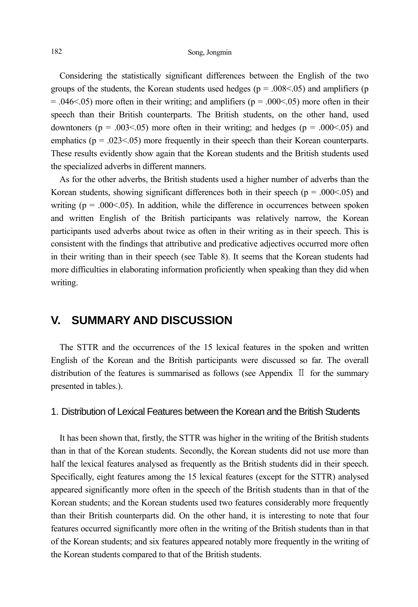Considering the statistically significant differences between the English of the two groups of the students, the Korean students used hedges ( $p = .008 \le .05$ ) and amplifiers (p  $= .046<0.05$ ) more often in their writing; and amplifiers ( $p = .000<0.05$ ) more often in their speech than their British counterparts. The British students, on the other hand, used downtoners ( $p = .003 \le 0.05$ ) more often in their writing; and hedges ( $p = .000 \le 0.05$ ) and emphatics ( $p = .023 \le 0.05$ ) more frequently in their speech than their Korean counterparts. These results evidently show again that the Korean students and the British students used the specialized adverbs in different manners.

As for the other adverbs, the British students used a higher number of adverbs than the Korean students, showing significant differences both in their speech ( $p = .000<0.05$ ) and writing ( $p = .000<0.05$ ). In addition, while the difference in occurrences between spoken and written English of the British participants was relatively narrow, the Korean participants used adverbs about twice as often in their writing as in their speech. This is consistent with the findings that attributive and predicative adjectives occurred more often in their writing than in their speech (see Table 8). It seems that the Korean students had more difficulties in elaborating information proficiently when speaking than they did when writing.

## **V. SUMMARY AND DISCUSSION**

The STTR and the occurrences of the 15 lexical features in the spoken and written English of the Korean and the British participants were discussed so far. The overall distribution of the features is summarised as follows (see Appendix  $\mathbb{I}$  for the summary presented in tables.).

## 1. Distribution of Lexical Features between the Korean and the British Students

It has been shown that, firstly, the STTR was higher in the writing of the British students than in that of the Korean students. Secondly, the Korean students did not use more than half the lexical features analysed as frequently as the British students did in their speech. Specifically, eight features among the 15 lexical features (except for the STTR) analysed appeared significantly more often in the speech of the British students than in that of the Korean students; and the Korean students used two features considerably more frequently than their British counterparts did. On the other hand, it is interesting to note that four features occurred significantly more often in the writing of the British students than in that of the Korean students; and six features appeared notably more frequently in the writing of the Korean students compared to that of the British students.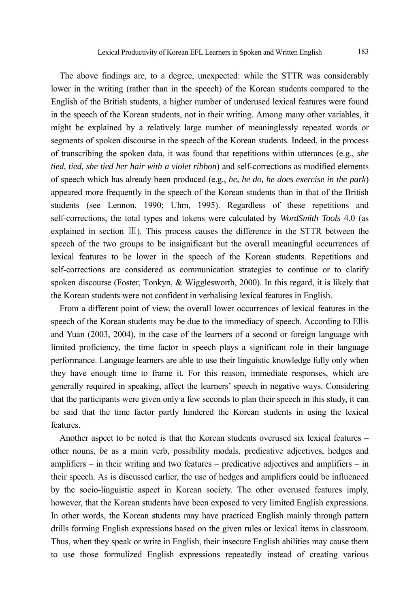The above findings are, to a degree, unexpected: while the STTR was considerably lower in the writing (rather than in the speech) of the Korean students compared to the English of the British students, a higher number of underused lexical features were found in the speech of the Korean students, not in their writing. Among many other variables, it might be explained by a relatively large number of meaninglessly repeated words or segments of spoken discourse in the speech of the Korean students. Indeed, in the process of transcribing the spoken data, it was found that repetitions within utterances (e.g., *she tied, tied, she tied her hair with a violet ribbon*) and self-corrections as modified elements of speech which has already been produced (e.g., *he, he do, he does exercise in the park*) appeared more frequently in the speech of the Korean students than in that of the British students (see Lennon, 1990; Uhm, 1995). Regardless of these repetitions and self-corrections, the total types and tokens were calculated by *WordSmith Tools* 4.0 (as explained in section Ⅲ). This process causes the difference in the STTR between the speech of the two groups to be insignificant but the overall meaningful occurrences of lexical features to be lower in the speech of the Korean students. Repetitions and self-corrections are considered as communication strategies to continue or to clarify spoken discourse (Foster, Tonkyn, & Wigglesworth, 2000). In this regard, it is likely that the Korean students were not confident in verbalising lexical features in English.

From a different point of view, the overall lower occurrences of lexical features in the speech of the Korean students may be due to the immediacy of speech. According to Ellis and Yuan (2003, 2004), in the case of the learners of a second or foreign language with limited proficiency, the time factor in speech plays a significant role in their language performance. Language learners are able to use their linguistic knowledge fully only when they have enough time to frame it. For this reason, immediate responses, which are generally required in speaking, affect the learners' speech in negative ways. Considering that the participants were given only a few seconds to plan their speech in this study, it can be said that the time factor partly hindered the Korean students in using the lexical features.

Another aspect to be noted is that the Korean students overused six lexical features – other nouns, *be* as a main verb, possibility modals, predicative adjectives, hedges and amplifiers – in their writing and two features – predicative adjectives and amplifiers – in their speech. As is discussed earlier, the use of hedges and amplifiers could be influenced by the socio-linguistic aspect in Korean society. The other overused features imply, however, that the Korean students have been exposed to very limited English expressions. In other words, the Korean students may have practiced English mainly through pattern drills forming English expressions based on the given rules or lexical items in classroom. Thus, when they speak or write in English, their insecure English abilities may cause them to use those formulized English expressions repeatedly instead of creating various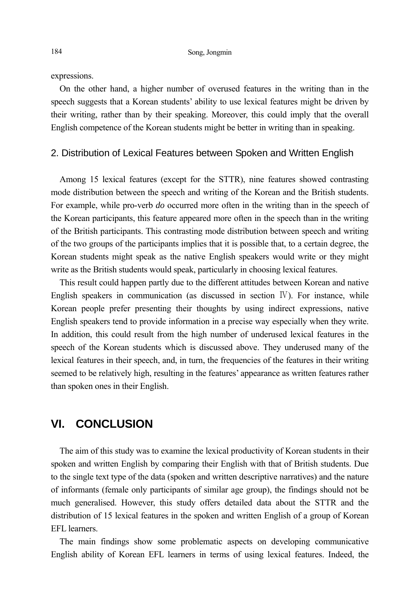expressions.

On the other hand, a higher number of overused features in the writing than in the speech suggests that a Korean students' ability to use lexical features might be driven by their writing, rather than by their speaking. Moreover, this could imply that the overall English competence of the Korean students might be better in writing than in speaking.

#### 2. Distribution of Lexical Features between Spoken and Written English

Among 15 lexical features (except for the STTR), nine features showed contrasting mode distribution between the speech and writing of the Korean and the British students. For example, while pro-verb *do* occurred more often in the writing than in the speech of the Korean participants, this feature appeared more often in the speech than in the writing of the British participants. This contrasting mode distribution between speech and writing of the two groups of the participants implies that it is possible that, to a certain degree, the Korean students might speak as the native English speakers would write or they might write as the British students would speak, particularly in choosing lexical features.

This result could happen partly due to the different attitudes between Korean and native English speakers in communication (as discussed in section  $\mathbb{V}$ ). For instance, while Korean people prefer presenting their thoughts by using indirect expressions, native English speakers tend to provide information in a precise way especially when they write. In addition, this could result from the high number of underused lexical features in the speech of the Korean students which is discussed above. They underused many of the lexical features in their speech, and, in turn, the frequencies of the features in their writing seemed to be relatively high, resulting in the features' appearance as written features rather than spoken ones in their English.

## **VI. CONCLUSION**

The aim of this study was to examine the lexical productivity of Korean students in their spoken and written English by comparing their English with that of British students. Due to the single text type of the data (spoken and written descriptive narratives) and the nature of informants (female only participants of similar age group), the findings should not be much generalised. However, this study offers detailed data about the STTR and the distribution of 15 lexical features in the spoken and written English of a group of Korean EFL learners.

The main findings show some problematic aspects on developing communicative English ability of Korean EFL learners in terms of using lexical features. Indeed, the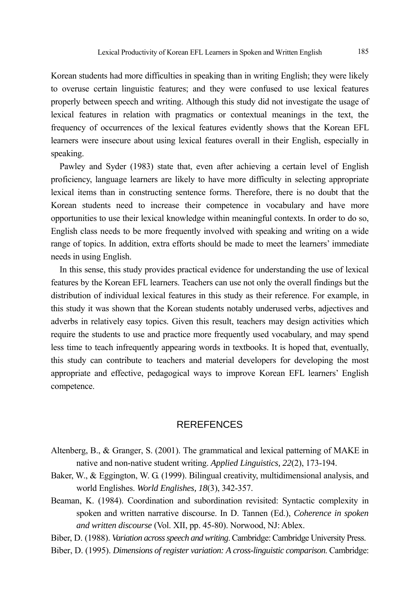Korean students had more difficulties in speaking than in writing English; they were likely to overuse certain linguistic features; and they were confused to use lexical features properly between speech and writing. Although this study did not investigate the usage of lexical features in relation with pragmatics or contextual meanings in the text, the frequency of occurrences of the lexical features evidently shows that the Korean EFL learners were insecure about using lexical features overall in their English, especially in speaking.

Pawley and Syder (1983) state that, even after achieving a certain level of English proficiency, language learners are likely to have more difficulty in selecting appropriate lexical items than in constructing sentence forms. Therefore, there is no doubt that the Korean students need to increase their competence in vocabulary and have more opportunities to use their lexical knowledge within meaningful contexts. In order to do so, English class needs to be more frequently involved with speaking and writing on a wide range of topics. In addition, extra efforts should be made to meet the learners' immediate needs in using English.

In this sense, this study provides practical evidence for understanding the use of lexical features by the Korean EFL learners. Teachers can use not only the overall findings but the distribution of individual lexical features in this study as their reference. For example, in this study it was shown that the Korean students notably underused verbs, adjectives and adverbs in relatively easy topics. Given this result, teachers may design activities which require the students to use and practice more frequently used vocabulary, and may spend less time to teach infrequently appearing words in textbooks. It is hoped that, eventually, this study can contribute to teachers and material developers for developing the most appropriate and effective, pedagogical ways to improve Korean EFL learners' English competence.

## **REREFENCES**

- Altenberg, B., & Granger, S. (2001). The grammatical and lexical patterning of MAKE in native and non-native student writing. *Applied Linguistics, 22*(2), 173-194.
- Baker, W., & Eggington, W. G. (1999). Bilingual creativity, multidimensional analysis, and world Englishes. *World Englishes, 18*(3), 342-357.
- Beaman, K. (1984). Coordination and subordination revisited: Syntactic complexity in spoken and written narrative discourse. In D. Tannen (Ed.), *Coherence in spoken and written discourse* (Vol. XII, pp. 45-80). Norwood, NJ: Ablex.

Biber, D. (1988). *Variation across speech and writing*. Cambridge: Cambridge University Press.

Biber, D. (1995). *Dimensions of register variation: A cross-linguistic comparison*. Cambridge: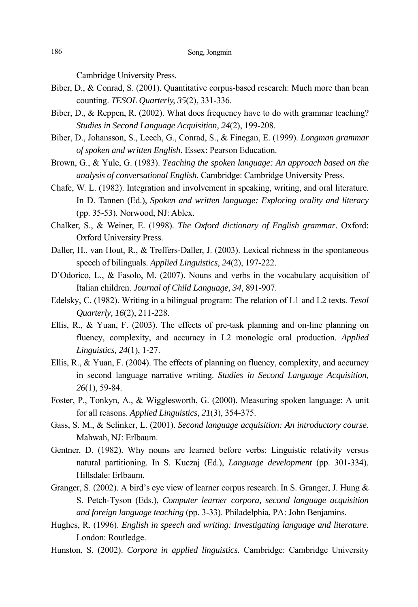Cambridge University Press.

- Biber, D., & Conrad, S. (2001). Quantitative corpus-based research: Much more than bean counting. *TESOL Quarterly, 35*(2), 331-336.
- Biber, D., & Reppen, R. (2002). What does frequency have to do with grammar teaching? *Studies in Second Language Acquisition, 24*(2), 199-208.
- Biber, D., Johansson, S., Leech, G., Conrad, S., & Finegan, E. (1999). *Longman grammar of spoken and written English*. Essex: Pearson Education.
- Brown, G., & Yule, G. (1983). *Teaching the spoken language: An approach based on the analysis of conversational English*. Cambridge: Cambridge University Press.
- Chafe, W. L. (1982). Integration and involvement in speaking, writing, and oral literature. In D. Tannen (Ed.), *Spoken and written language: Exploring orality and literacy* (pp. 35-53). Norwood, NJ: Ablex.
- Chalker, S., & Weiner, E. (1998). *The Oxford dictionary of English grammar*. Oxford: Oxford University Press.
- Daller, H., van Hout, R., & Treffers-Daller, J. (2003). Lexical richness in the spontaneous speech of bilinguals. *Applied Linguistics, 24*(2), 197-222.
- D'Odorico, L., & Fasolo, M. (2007). Nouns and verbs in the vocabulary acquisition of Italian children. *Journal of Child Language, 34*, 891-907.
- Edelsky, C. (1982). Writing in a bilingual program: The relation of L1 and L2 texts. *Tesol Quarterly, 16*(2), 211-228.
- Ellis, R., & Yuan, F. (2003). The effects of pre-task planning and on-line planning on fluency, complexity, and accuracy in L2 monologic oral production. *Applied Linguistics, 24*(1), 1-27.
- Ellis, R., & Yuan, F. (2004). The effects of planning on fluency, complexity, and accuracy in second language narrative writing. *Studies in Second Language Acquisition, 26*(1), 59-84.
- Foster, P., Tonkyn, A., & Wigglesworth, G. (2000). Measuring spoken language: A unit for all reasons. *Applied Linguistics, 21*(3), 354-375.
- Gass, S. M., & Selinker, L. (2001). *Second language acquisition: An introductory course*. Mahwah, NJ: Erlbaum.
- Gentner, D. (1982). Why nouns are learned before verbs: Linguistic relativity versus natural partitioning. In S. Kuczaj (Ed.), *Language development* (pp. 301-334). Hillsdale: Erlbaum.
- Granger, S. (2002). A bird's eye view of learner corpus research. In S. Granger, J. Hung & S. Petch-Tyson (Eds.), *Computer learner corpora, second language acquisition and foreign language teaching* (pp. 3-33). Philadelphia, PA: John Benjamins.
- Hughes, R. (1996). *English in speech and writing: Investigating language and literature*. London: Routledge.
- Hunston, S. (2002). *Corpora in applied linguistics.* Cambridge: Cambridge University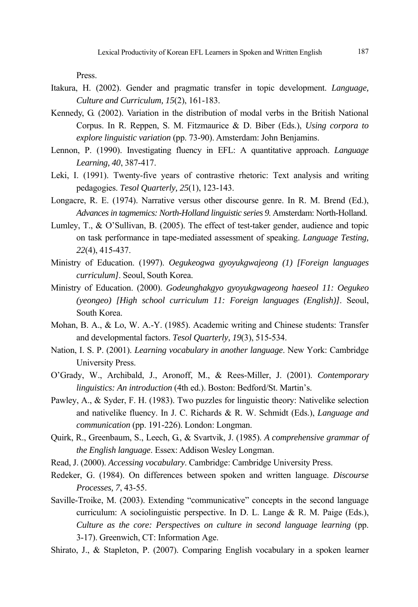Press.

- Itakura, H. (2002). Gender and pragmatic transfer in topic development. *Language, Culture and Curriculum, 15*(2), 161-183.
- Kennedy, G. (2002). Variation in the distribution of modal verbs in the British National Corpus. In R. Reppen, S. M. Fitzmaurice & D. Biber (Eds.), *Using corpora to explore linguistic variation* (pp. 73-90). Amsterdam: John Benjamins.
- Lennon, P. (1990). Investigating fluency in EFL: A quantitative approach. *Language Learning, 40*, 387-417.
- Leki, I. (1991). Twenty-five years of contrastive rhetoric: Text analysis and writing pedagogies. *Tesol Quarterly, 25*(1), 123-143.
- Longacre, R. E. (1974). Narrative versus other discourse genre. In R. M. Brend (Ed.), *Advances in tagmemics: North-Holland linguistic series 9*. Amsterdam: North-Holland.
- Lumley, T., & O'Sullivan, B. (2005). The effect of test-taker gender, audience and topic on task performance in tape-mediated assessment of speaking. *Language Testing, 22*(4), 415-437.
- Ministry of Education. (1997). *Oegukeogwa gyoyukgwajeong (1) [Foreign languages curriculum]*. Seoul, South Korea.
- Ministry of Education. (2000). *Godeunghakgyo gyoyukgwageong haeseol 11: Oegukeo (yeongeo) [High school curriculum 11: Foreign languages (English)]*. Seoul, South Korea.
- Mohan, B. A., & Lo, W. A.-Y. (1985). Academic writing and Chinese students: Transfer and developmental factors. *Tesol Quarterly, 19*(3), 515-534.
- Nation, I. S. P. (2001). *Learning vocabulary in another language*. New York: Cambridge University Press.
- O'Grady, W., Archibald, J., Aronoff, M., & Rees-Miller, J. (2001). *Contemporary linguistics: An introduction* (4th ed.). Boston: Bedford/St. Martin's.
- Pawley, A., & Syder, F. H. (1983). Two puzzles for linguistic theory: Nativelike selection and nativelike fluency. In J. C. Richards & R. W. Schmidt (Eds.), *Language and communication* (pp. 191-226). London: Longman.
- Quirk, R., Greenbaum, S., Leech, G., & Svartvik, J. (1985). *A comprehensive grammar of the English language*. Essex: Addison Wesley Longman.
- Read, J. (2000). *Accessing vocabulary*. Cambridge: Cambridge University Press.
- Redeker, G. (1984). On differences between spoken and written language. *Discourse Processes, 7*, 43-55.
- Saville-Troike, M. (2003). Extending "communicative" concepts in the second language curriculum: A sociolinguistic perspective. In D. L. Lange & R. M. Paige (Eds.), *Culture as the core: Perspectives on culture in second language learning* (pp. 3-17). Greenwich, CT: Information Age.
- Shirato, J., & Stapleton, P. (2007). Comparing English vocabulary in a spoken learner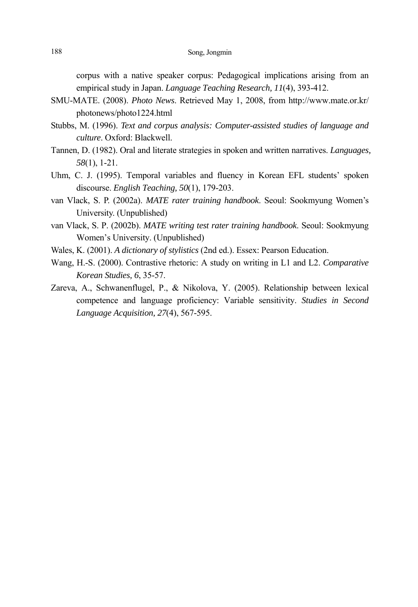corpus with a native speaker corpus: Pedagogical implications arising from an empirical study in Japan. *Language Teaching Research, 11*(4), 393-412.

- SMU-MATE. (2008). *Photo News*. Retrieved May 1, 2008, from http://www.mate.or.kr/ photonews/photo1224.html
- Stubbs, M. (1996). *Text and corpus analysis: Computer-assisted studies of language and culture*. Oxford: Blackwell.
- Tannen, D. (1982). Oral and literate strategies in spoken and written narratives. *Languages, 58*(1), 1-21.
- Uhm, C. J. (1995). Temporal variables and fluency in Korean EFL students' spoken discourse. *English Teaching, 50*(1), 179-203.
- van Vlack, S. P. (2002a). *MATE rater training handbook*. Seoul: Sookmyung Women's University. (Unpublished)
- van Vlack, S. P. (2002b). *MATE writing test rater training handbook*. Seoul: Sookmyung Women's University. (Unpublished)
- Wales, K. (2001). *A dictionary of stylistics* (2nd ed.). Essex: Pearson Education.
- Wang, H.-S. (2000). Contrastive rhetoric: A study on writing in L1 and L2. *Comparative Korean Studies, 6*, 35-57.
- Zareva, A., Schwanenflugel, P., & Nikolova, Y. (2005). Relationship between lexical competence and language proficiency: Variable sensitivity. *Studies in Second Language Acquisition, 27*(4), 567-595.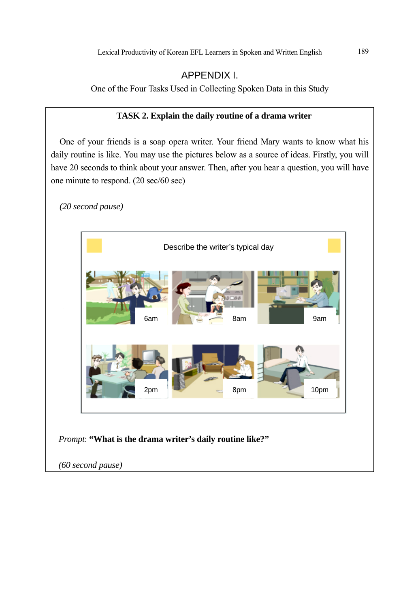# APPENDIX I.

One of the Four Tasks Used in Collecting Spoken Data in this Study

## **TASK 2. Explain the daily routine of a drama writer**

One of your friends is a soap opera writer. Your friend Mary wants to know what his daily routine is like. You may use the pictures below as a source of ideas. Firstly, you will have 20 seconds to think about your answer. Then, after you hear a question, you will have one minute to respond. (20 sec/60 sec)

*(20 second pause)* 



*Prompt*: **"What is the drama writer's daily routine like?"**

*(60 second pause)*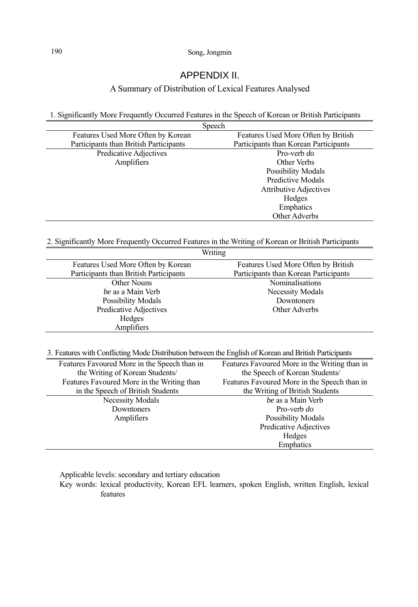## APPENDIX II.

## A Summary of Distribution of Lexical Features Analysed

1. Significantly More Frequently Occurred Features in the Speech of Korean or British Participants

|                                        | Speech                                |
|----------------------------------------|---------------------------------------|
| Features Used More Often by Korean     | Features Used More Often by British   |
| Participants than British Participants | Participants than Korean Participants |
| Predicative Adjectives                 | Pro-verb do                           |
| Amplifiers                             | Other Verbs                           |
|                                        | <b>Possibility Modals</b>             |
|                                        | Predictive Modals                     |
|                                        | <b>Attributive Adjectives</b>         |
|                                        | Hedges                                |
|                                        | Emphatics                             |
|                                        | Other Adverbs                         |

#### 2. Significantly More Frequently Occurred Features in the Writing of Korean or British Participants

|                                        | Writing                               |
|----------------------------------------|---------------------------------------|
| Features Used More Often by Korean     | Features Used More Often by British   |
| Participants than British Participants | Participants than Korean Participants |
| Other Nouns                            | Nominalisations                       |
| be as a Main Verb                      | Necessity Modals                      |
| Possibility Modals                     | Downtoners                            |
| Predicative Adjectives                 | Other Adverbs                         |
| Hedges                                 |                                       |
| Amplifiers                             |                                       |
|                                        |                                       |

3. Features with Conflicting Mode Distribution between the English of Korean and British Participants

| Features Favoured More in the Speech than in | Features Favoured More in the Writing than in |
|----------------------------------------------|-----------------------------------------------|
| the Writing of Korean Students/              | the Speech of Korean Students/                |
| Features Favoured More in the Writing than   | Features Favoured More in the Speech than in  |
| in the Speech of British Students            | the Writing of British Students               |
| Necessity Modals                             | be as a Main Verb                             |
| Downtoners                                   | Pro-verb do                                   |
| Amplifiers                                   | <b>Possibility Modals</b>                     |
|                                              | Predicative Adjectives                        |
|                                              | Hedges                                        |
|                                              | Emphatics                                     |

Applicable levels: secondary and tertiary education

Key words: lexical productivity, Korean EFL learners, spoken English, written English, lexical features